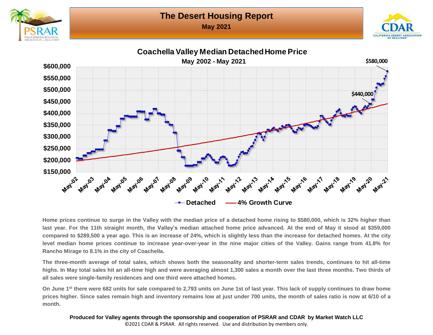**May 2021**





**Coachella Valley Median Detached Home Price May 2002 - May 2021\$580,000 \$600,000 \$550,000 \$500,000 \$440,000 \$450,000 \$400,000 \$350,000 \$300,000 \$250,000 \$200,000** \$150,000 **May 04 May 16 May 193 May 07 May 08 May 199 May 13 May 14 May's 6 May 11 May 10 May' May 12 May** 05 May 06 May 18 12 May 20 May 2 **→ Detached – 4% Growth Curve** 

Home prices continue to surge in the Valley with the median price of a detached home rising to \$580,000, which is 32% higher than last year. For the 11th straight month, the Valley's median attached home price advanced. At the end of May it stood at \$359,000 compared to \$289,500 a year ago. This is an increase of 24%, which is slightly less than the increase for detached homes. At the city level median home prices continue to increase year-over-year in the nine major cities of the Valley. Gains range from 41.8% for **Rancho Mirage to 8.1% in the city of Coachella.**

The three-month average of total sales, which shows both the seasonality and shorter-term sales trends, continues to hit all-time highs. In May total sales hit an all-time high and were averaging almost 1,300 sales a month over the last three months. Two thirds of **all sales were single-family residences and one third were attached homes.**

On June 1st there were 682 units for sale compared to 2,793 units on June 1st of last year. This lack of supply continues to draw home prices higher. Since sales remain high and inventory remains low at just under 700 units, the month of sales ratio is now at 6/10 of a **month.**

**Produced for Valley agents through the sponsorship and cooperation of PSRAR and CDAR by Market Watch LLC** ©2021 CDAR & PSRAR. All rights reserved. Use and distribution by members only.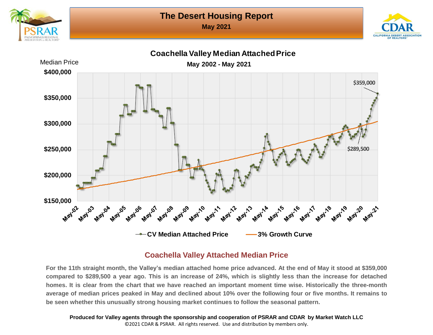**May 2021**









#### **Coachella Valley Attached Median Price**

For the 11th straight month, the Valley's median attached home price advanced. At the end of May it stood at \$359,000 compared to \$289,500 a year ago. This is an increase of 24%, which is slightly less than the increase for detached homes. It is clear from the chart that we have reached an important moment time wise. Historically the three-month average of median prices peaked in May and declined about 10% over the following four or five months. It remains to **be seen whether this unusually strong housing market continues to follow the seasonal pattern.**

**Produced for Valley agents through the sponsorship and cooperation of PSRAR and CDAR by Market Watch LLC** ©2021 CDAR & PSRAR. All rights reserved. Use and distribution by members only.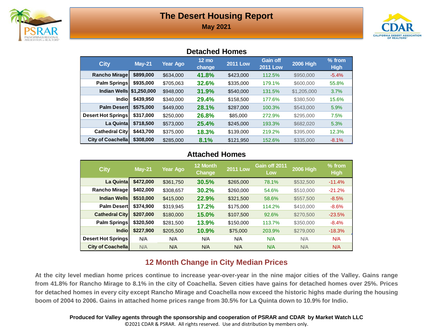

**May 2021**



#### **Detached Homes**

| <b>City</b>                | $May-21$  | <b>Year Ago</b> | $12 \text{ mo}$<br>change | <b>2011 Low</b> | <b>Gain off</b><br><b>2011 Low</b> | <b>2006 High</b> | $%$ from<br><b>High</b> |
|----------------------------|-----------|-----------------|---------------------------|-----------------|------------------------------------|------------------|-------------------------|
| Rancho Mirage              | \$899,000 | \$634,000       | 41.8%                     | \$423,000       | 112.5%                             | \$950,000        | $-5.4%$                 |
| Palm Springs               | \$935,000 | \$705,063       | 32.6%                     | \$335,000       | 179.1%                             | \$600,000        | 55.8%                   |
| Indian Wells   \$1,250,000 |           | \$948,000       | 31.9%                     | \$540,000       | 131.5%                             | \$1,205,000      | 3.7%                    |
| <b>Indio</b>               | \$439,950 | \$340,000       | 29.4%                     | \$158,500       | 177.6%                             | \$380,500        | 15.6%                   |
| <b>Palm Desert</b>         | \$575,000 | \$449,000       | 28.1%                     | \$287,000       | 100.3%                             | \$543,000        | 5.9%                    |
| Desert Hot Springs         | \$317,000 | \$250,000       | 26.8%                     | \$85,000        | 272.9%                             | \$295,000        | 7.5%                    |
| La Quinta                  | \$718,500 | \$573,000       | 25.4%                     | \$245,000       | 193.3%                             | \$682,020        | 5.3%                    |
| <b>Cathedral City</b>      | \$443.700 | \$375,000       | 18.3%                     | \$139,000       | 219.2%                             | \$395,000        | 12.3%                   |
| <b>City of Coachellal</b>  | \$308,000 | \$285,000       | 8.1%                      | \$121,950       | 152.6%                             | \$335,000        | $-8.1%$                 |

#### **Attached Homes**

| <b>City</b>               | <b>May-21</b> | Year Ago  | 12 Month<br>Change | <b>2011 Low</b> | Gain off 2011<br>Low | <b>2006 High</b> | $%$ from<br><b>High</b> |
|---------------------------|---------------|-----------|--------------------|-----------------|----------------------|------------------|-------------------------|
| La Quinta                 | \$472,000     | \$361,750 | 30.5%              | \$265,000       | 78.1%                | \$532,500        | $-11.4%$                |
| Rancho Mirage             | \$402,000     | \$308,657 | 30.2%              | \$260,000       | 54.6%                | \$510,000        | $-21.2%$                |
| <b>Indian Wells</b>       | \$510,000     | \$415,000 | 22.9%              | \$321,500       | 58.6%                | \$557,500        | $-8.5%$                 |
| <b>Palm Desert</b>        | \$374,900     | \$319.945 | 17.2%              | \$175,000       | 114.2%               | \$410,000        | $-8.6%$                 |
| <b>Cathedral City</b>     | \$207,000     | \$180,000 | 15.0%              | \$107,500       | 92.6%                | \$270,500        | $-23.5%$                |
| Palm Springs              | \$320,500     | \$281,500 | 13.9%              | \$150,000       | 113.7%               | \$350,000        | $-8.4%$                 |
| <b>Indio</b>              | \$227,900     | \$205,500 | 10.9%              | \$75,000        | 203.9%               | \$279,000        | $-18.3%$                |
| <b>Desert Hot Springs</b> | N/A           | N/A       | N/A                | N/A             | N/A                  | N/A              | N/A                     |
| <b>City of Coachella</b>  | N/A           | N/A       | N/A                | N/A             | N/A                  | N/A              | N/A                     |

#### **12 Month Change in City Median Prices**

At the city level median home prices continue to increase year-over-year in the nine major cities of the Valley. Gains range from 41.8% for Rancho Mirage to 8.1% in the city of Coachella. Seven cities have gains for detached homes over 25%. Prices for detached homes in every city except Rancho Mirage and Coachella now exceed the historic highs made during the housing boom of 2004 to 2006. Gains in attached home prices range from 30.5% for La Quinta down to 10.9% for Indio.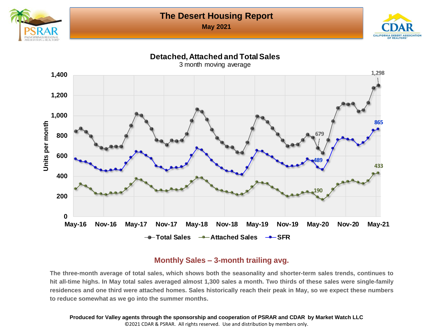**May 2021**





#### **Detached, Attached and Total Sales**



#### **Monthly Sales – 3-month trailing avg.**

The three-month average of total sales, which shows both the seasonality and shorter-term sales trends, continues to hit all-time highs. In May total sales averaged almost 1,300 sales a month. Two thirds of these sales were single-family residences and one third were attached homes. Sales historically reach their peak in May, so we expect these numbers **to reduce somewhat as we go into the summer months.**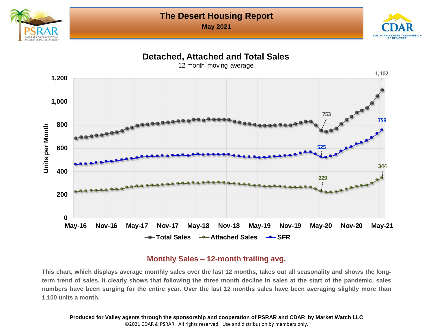

**May 2021**



#### **Detached, Attached and Total Sales**



#### **Monthly Sales – 12-month trailing avg.**

This chart, which displays average monthly sales over the last 12 months, takes out all seasonality and shows the longterm trend of sales. It clearly shows that following the three month decline in sales at the start of the pandemic, sales numbers have been surging for the entire year. Over the last 12 months sales have been averaging slightly more than **1,100 units a month.**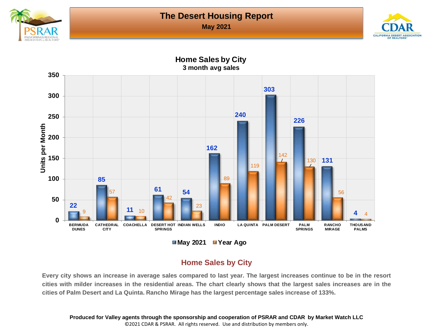

**May 2021**



**3 month avg sales 350 303 300 240 250 226 Units per Month Units per Month 200 162** 142 **150 131** 130 119 **100 85** 89 **<sup>61</sup> <sup>54</sup>** 56 57 **50** 42 **22** 23 **11** 10 9 **4** 4 **0 BERMUDA INDIO** LA QUINTA **PALM DESERT PALM RANCHO THOUSAND CATHEDRAL COACHELLA DESERT HOT CITY SPRINGS SPRINGS DUNES MIRAGE PALMS May 2021 Year Ago**

# **Home Sales by City**

#### **Home Sales by City**

Every city shows an increase in average sales compared to last year. The largest increases continue to be in the resort cities with milder increases in the residential areas. The chart clearly shows that the largest sales increases are in the **cities of Palm Desert and La Quinta. Rancho Mirage has the largest percentage sales increase of 133%.**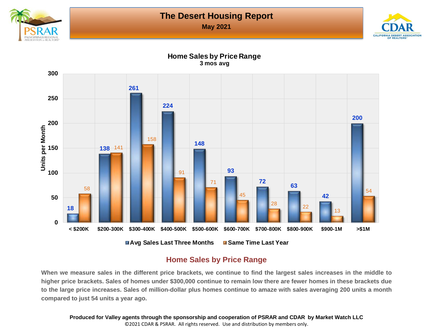

**May 2021**



**Home Sales by Price Range 3 mos avg**



#### **Home Sales by Price Range**

When we measure sales in the different price brackets, we continue to find the largest sales increases in the middle to higher price brackets. Sales of homes under \$300,000 continue to remain low there are fewer homes in these brackets due to the large price increases. Sales of million-dollar plus homes continue to amaze with sales averaging 200 units a month **compared to just 54 units a year ago.**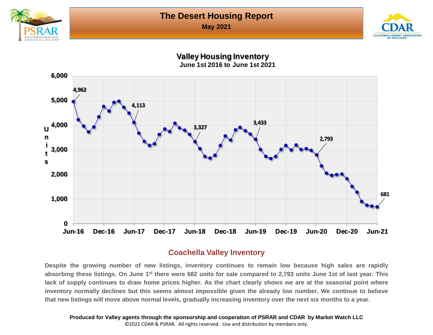

**May 2021**



**Valley Housing Inventory June 1st 2016 to June 1st 2021**



#### **Coachella Valley Inventory**

Despite the growing number of new listings, inventory continues to remain low because high sales are rapidly absorbing these listings. On June 1<sup>st</sup> there were 682 units for sale compared to 2,793 units June 1st of last year. This lack of supply continues to draw home prices higher. As the chart clearly shows we are at the seasonal point where inventory normally declines but this seems almost impossible given the already low number. We continue to believe that new listings will move above normal levels, gradually increasing inventory over the next six months to a year.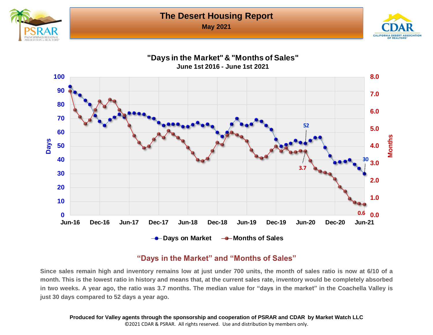**May 2021**







#### **"Days in the Market" and "Months of Sales"**

Since sales remain high and inventory remains low at just under 700 units, the month of sales ratio is now at 6/10 of a month. This is the lowest ratio in history and means that, at the current sales rate, inventory would be completely absorbed in two weeks. A year ago, the ratio was 3.7 months. The median value for "days in the market" in the Coachella Valley is **just 30 days compared to 52 days a year ago.**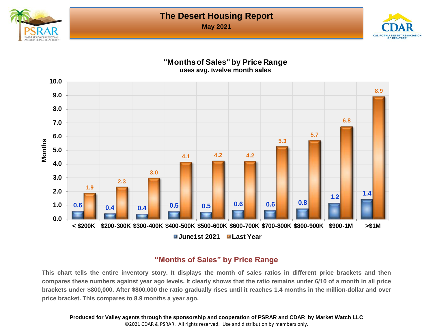

**May 2021**



#### **"Months of Sales" by Price Range uses avg. twelve month sales**



#### **"Months of Sales" by Price Range**

This chart tells the entire inventory story. It displays the month of sales ratios in different price brackets and then compares these numbers against year ago levels. It clearly shows that the ratio remains under 6/10 of a month in all price brackets under \$800,000. After \$800,000 the ratio gradually rises until it reaches 1.4 months in the million-dollar and over **price bracket. This compares to 8.9 months a year ago.**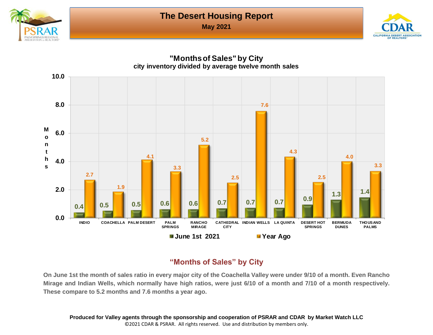

**May 2021**





#### **"Months of S***a***les" by City**

On June 1st the month of sales ratio in every major city of the Coachella Valley were under 9/10 of a month. Even Rancho Mirage and Indian Wells, which normally have high ratios, were just 6/10 of a month and 7/10 of a month respectively. **These compare to 5.2 months and 7.6 months a year ago.**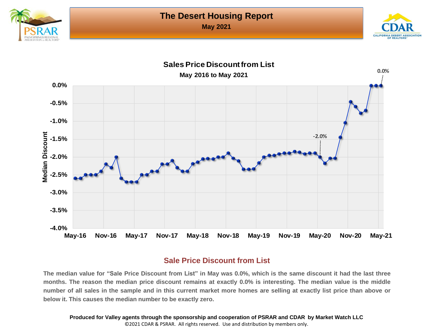





#### **Sale Price Discount from List**

The median value for "Sale Price Discount from List" in May was 0.0%, which is the same discount it had the last three months. The reason the median price discount remains at exactly 0.0% is interesting. The median value is the middle number of all sales in the sample and in this current market more homes are selling at exactly list price than above or **below it. This causes the median number to be exactly zero.**